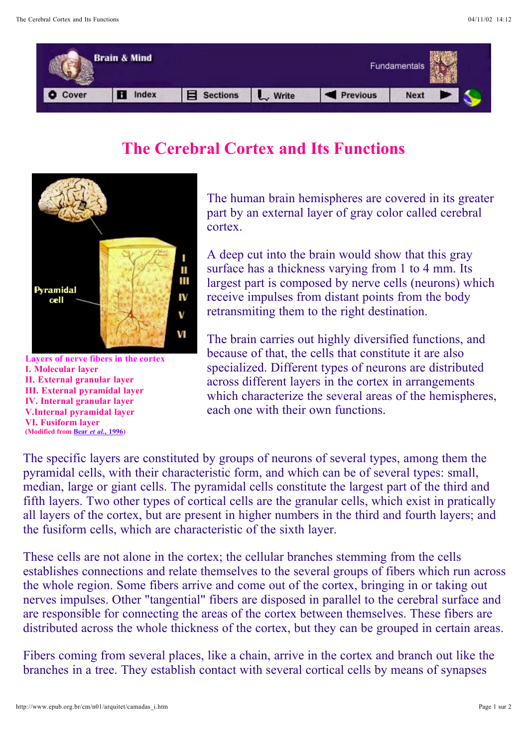

## **The Cerebral Cortex and Its Functions**



**Layers of nerve fibers in the cortex I. Molecular layer II. External granular layer III. External pyramidal layer IV. Internal granular layer V.Internal pyramidal layer VI. Fusiform layer (Modified from Bear** *et al.***, 1996)**

The human brain hemispheres are covered in its greater part by an external layer of gray color called cerebral cortex.

A deep cut into the brain would show that this gray surface has a thickness varying from 1 to 4 mm. Its largest part is composed by nerve cells (neurons) which receive impulses from distant points from the body retransmiting them to the right destination.

The brain carries out highly diversified functions, and because of that, the cells that constitute it are also specialized. Different types of neurons are distributed across different layers in the cortex in arrangements which characterize the several areas of the hemispheres, each one with their own functions.

The specific layers are constituted by groups of neurons of several types, among them the pyramidal cells, with their characteristic form, and which can be of several types: small, median, large or giant cells. The pyramidal cells constitute the largest part of the third and fifth layers. Two other types of cortical cells are the granular cells, which exist in pratically all layers of the cortex, but are present in higher numbers in the third and fourth layers; and the fusiform cells, which are characteristic of the sixth layer.

These cells are not alone in the cortex; the cellular branches stemming from the cells establishes connections and relate themselves to the several groups of fibers which run across the whole region. Some fibers arrive and come out of the cortex, bringing in or taking out nerves impulses. Other "tangential" fibers are disposed in parallel to the cerebral surface and are responsible for connecting the areas of the cortex between themselves. These fibers are distributed across the whole thickness of the cortex, but they can be grouped in certain areas.

Fibers coming from several places, like a chain, arrive in the cortex and branch out like the branches in a tree. They establish contact with several cortical cells by means of synapses